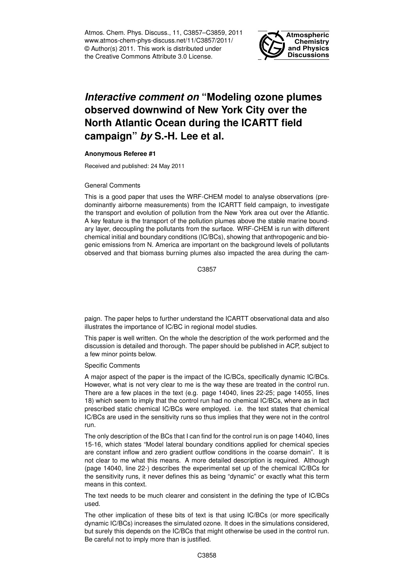Atmos. Chem. Phys. Discuss., 11, C3857–C3859, 2011 www.atmos-chem-phys-discuss.net/11/C3857/2011/ © Author(s) 2011. This work is distributed under the Creative Commons Attribute 3.0 License.



## *Interactive comment on* **"Modeling ozone plumes observed downwind of New York City over the North Atlantic Ocean during the ICARTT field campaign"** *by* **S.-H. Lee et al.**

## **Anonymous Referee #1**

Received and published: 24 May 2011

## General Comments

This is a good paper that uses the WRF-CHEM model to analyse observations (predominantly airborne measurements) from the ICARTT field campaign, to investigate the transport and evolution of pollution from the New York area out over the Atlantic. A key feature is the transport of the pollution plumes above the stable marine boundary layer, decoupling the pollutants from the surface. WRF-CHEM is run with different chemical initial and boundary conditions (IC/BCs), showing that anthropogenic and biogenic emissions from N. America are important on the background levels of pollutants observed and that biomass burning plumes also impacted the area during the cam-

C3857

paign. The paper helps to further understand the ICARTT observational data and also illustrates the importance of IC/BC in regional model studies.

This paper is well written. On the whole the description of the work performed and the discussion is detailed and thorough. The paper should be published in ACP, subject to a few minor points below.

Specific Comments

A major aspect of the paper is the impact of the IC/BCs, specifically dynamic IC/BCs. However, what is not very clear to me is the way these are treated in the control run. There are a few places in the text (e.g. page 14040, lines 22-25; page 14055, lines 18) which seem to imply that the control run had no chemical IC/BCs, where as in fact prescribed static chemical IC/BCs were employed. i.e. the text states that chemical IC/BCs are used in the sensitivity runs so thus implies that they were not in the control run.

The only description of the BCs that I can find for the control run is on page 14040, lines 15-16, which states "Model lateral boundary conditions applied for chemical species are constant inflow and zero gradient outflow conditions in the coarse domain". It is not clear to me what this means. A more detailed description is required. Although (page 14040, line 22-) describes the experimental set up of the chemical IC/BCs for the sensitivity runs, it never defines this as being "dynamic" or exactly what this term means in this context.

The text needs to be much clearer and consistent in the defining the type of IC/BCs used.

The other implication of these bits of text is that using IC/BCs (or more specifically dynamic IC/BCs) increases the simulated ozone. It does in the simulations considered, but surely this depends on the IC/BCs that might otherwise be used in the control run. Be careful not to imply more than is justified.